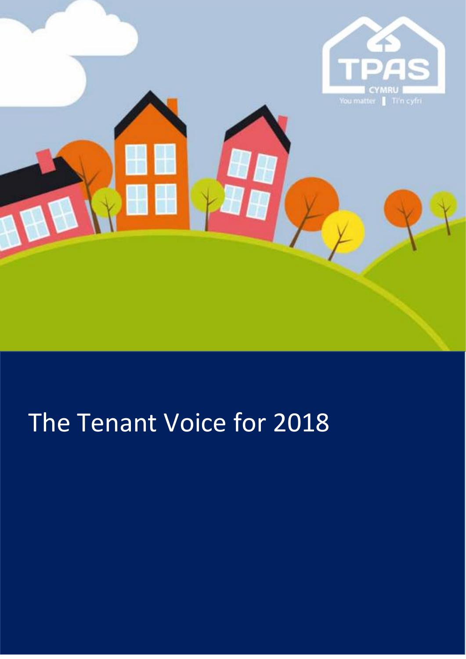

# The Tenant Voice for 2018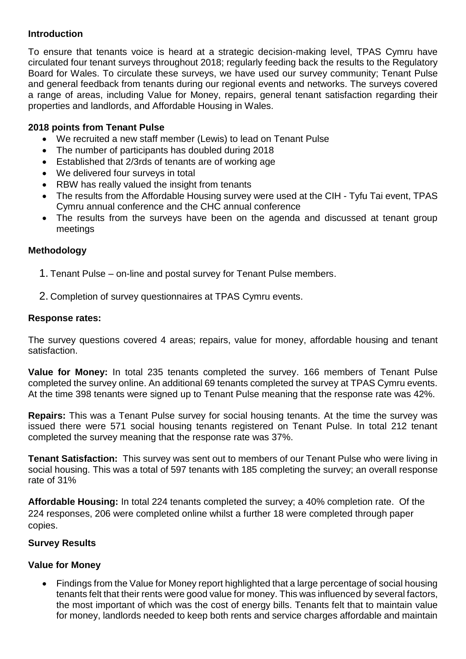#### **Introduction**

To ensure that tenants voice is heard at a strategic decision-making level, TPAS Cymru have circulated four tenant surveys throughout 2018; regularly feeding back the results to the Regulatory Board for Wales. To circulate these surveys, we have used our survey community; Tenant Pulse and general feedback from tenants during our regional events and networks. The surveys covered a range of areas, including Value for Money, repairs, general tenant satisfaction regarding their properties and landlords, and Affordable Housing in Wales.

### **2018 points from Tenant Pulse**

- We recruited a new staff member (Lewis) to lead on Tenant Pulse
- The number of participants has doubled during 2018
- Established that 2/3rds of tenants are of working age
- We delivered four surveys in total
- RBW has really valued the insight from tenants
- The results from the Affordable Housing survey were used at the CIH Tyfu Tai event, TPAS Cymru annual conference and the CHC annual conference
- The results from the surveys have been on the agenda and discussed at tenant group meetings

#### **Methodology**

- 1. Tenant Pulse on-line and postal survey for Tenant Pulse members.
- 2. Completion of survey questionnaires at TPAS Cymru events.

#### **Response rates:**

The survey questions covered 4 areas; repairs, value for money, affordable housing and tenant satisfaction.

**Value for Money:** In total 235 tenants completed the survey. 166 members of Tenant Pulse completed the survey online. An additional 69 tenants completed the survey at TPAS Cymru events. At the time 398 tenants were signed up to Tenant Pulse meaning that the response rate was 42%.

**Repairs:** This was a Tenant Pulse survey for social housing tenants. At the time the survey was issued there were 571 social housing tenants registered on Tenant Pulse. In total 212 tenant completed the survey meaning that the response rate was 37%.

**Tenant Satisfaction:** This survey was sent out to members of our Tenant Pulse who were living in social housing. This was a total of 597 tenants with 185 completing the survey; an overall response rate of 31%

**Affordable Housing:** In total 224 tenants completed the survey; a 40% completion rate. Of the 224 responses, 206 were completed online whilst a further 18 were completed through paper copies.

## **Survey Results**

#### **Value for Money**

• Findings from the Value for Money report highlighted that a large percentage of social housing tenants felt that their rents were good value for money. This was influenced by several factors, the most important of which was the cost of energy bills. Tenants felt that to maintain value for money, landlords needed to keep both rents and service charges affordable and maintain